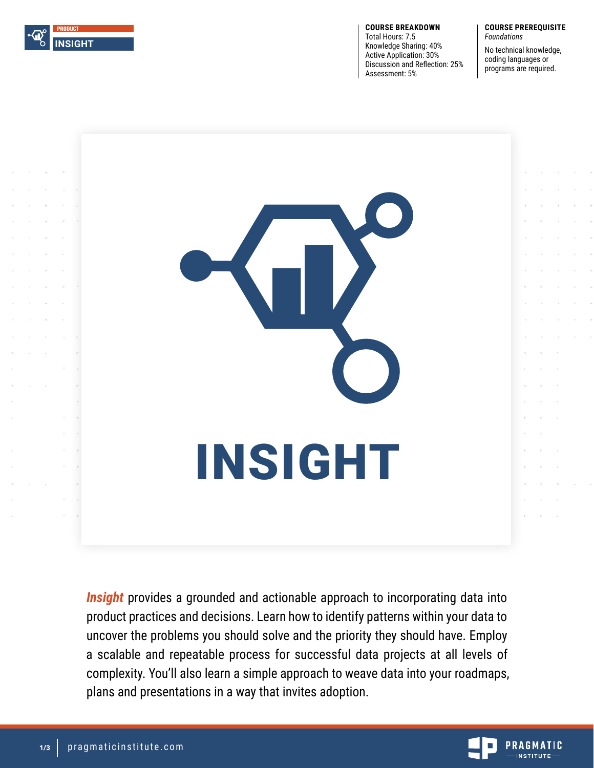

**COURSE BREAKDOWN** Total Hours: 7.5 Knowledge Sharing: 40% Active Application: 30% Discussion and Reflection: 25% Assessment: 5%

#### **COURSE PREREQUISITE** *Foundations*

No technical knowledge, coding languages or programs are required.



**Insight** provides a grounded and actionable approach to incorporating data into product practices and decisions. Learn how to identify patterns within your data to uncover the problems you should solve and the priority they should have. Employ a scalable and repeatable process for successful data projects at all levels of complexity. You'll also learn a simple approach to weave data into your roadmaps, plans and presentations in a way that invites adoption.

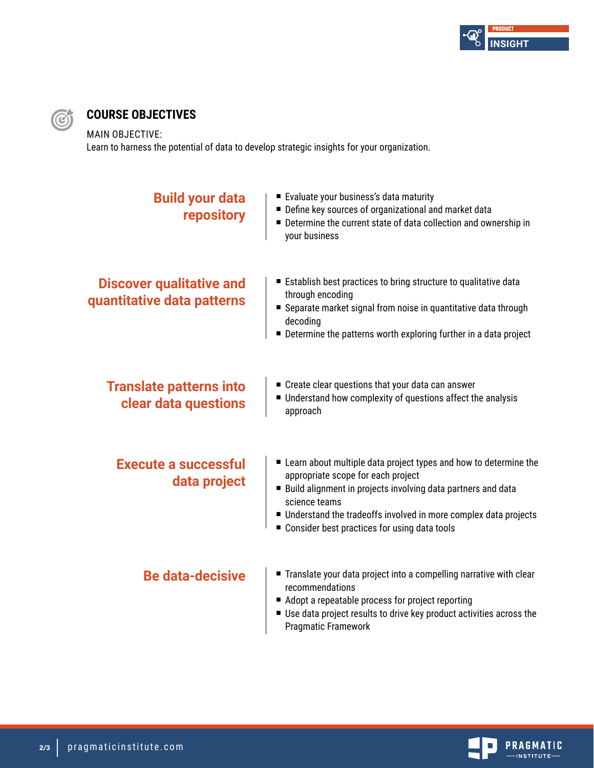

## **COURSE OBJECTIVES**

MAIN OBJECTIVE:

 $\bigcirc$ 

Learn to harness the potential of data to develop strategic insights for your organization.

| <b>Build your data</b><br>repository                          | ■ Evaluate your business's data maturity<br>Define key sources of organizational and market data<br>■ Determine the current state of data collection and ownership in<br>your business                                                                                                                           |
|---------------------------------------------------------------|------------------------------------------------------------------------------------------------------------------------------------------------------------------------------------------------------------------------------------------------------------------------------------------------------------------|
| <b>Discover qualitative and</b><br>quantitative data patterns | Establish best practices to bring structure to qualitative data<br>through encoding<br>■ Separate market signal from noise in quantitative data through<br>decoding<br>■ Determine the patterns worth exploring further in a data project                                                                        |
| <b>Translate patterns into</b><br>clear data questions        | ■ Create clear questions that your data can answer<br>Understand how complexity of questions affect the analysis<br>approach                                                                                                                                                                                     |
| <b>Execute a successful</b><br>data project                   | ■ Learn about multiple data project types and how to determine the<br>appropriate scope for each project<br>■ Build alignment in projects involving data partners and data<br>science teams<br>Understand the tradeoffs involved in more complex data projects<br>■ Consider best practices for using data tools |
| <b>Be data-decisive</b>                                       | ■ Translate your data project into a compelling narrative with clear<br>recommendations<br>Adopt a repeatable process for project reporting<br>Use data project results to drive key product activities across the<br><b>Pragmatic Framework</b>                                                                 |